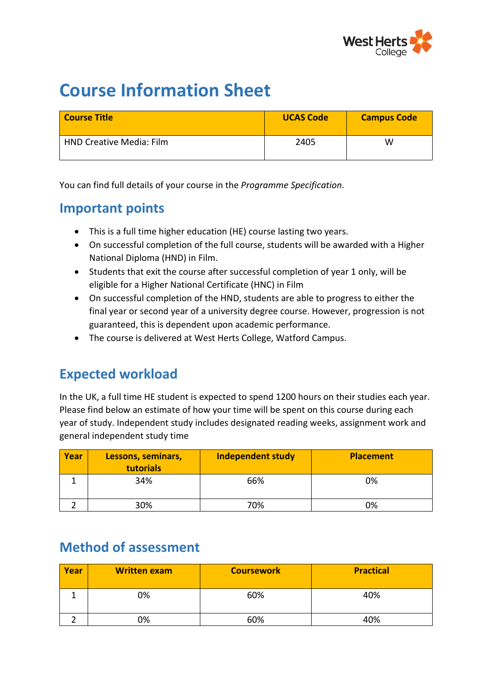

# **Course Information Sheet**

| <b>Course Title</b>             | <b>UCAS Code</b> | <b>Campus Code</b> |
|---------------------------------|------------------|--------------------|
| <b>HND Creative Media: Film</b> | 2405             | W                  |

You can find full details of your course in the *Programme Specification*.

#### **Important points**

- This is a full time higher education (HE) course lasting two years.
- On successful completion of the full course, students will be awarded with a Higher National Diploma (HND) in Film.
- Students that exit the course after successful completion of year 1 only, will be eligible for a Higher National Certificate (HNC) in Film
- On successful completion of the HND, students are able to progress to either the final year or second year of a university degree course. However, progression is not guaranteed, this is dependent upon academic performance.
- The course is delivered at West Herts College, Watford Campus.

#### **Expected workload**

In the UK, a full time HE student is expected to spend 1200 hours on their studies each year. Please find below an estimate of how your time will be spent on this course during each year of study. Independent study includes designated reading weeks, assignment work and general independent study time

| Year | Lessons, seminars,<br>tutorials | <b>Independent study</b> | <b>Placement</b> |
|------|---------------------------------|--------------------------|------------------|
|      | 34%                             | 66%                      | 0%               |
|      | 30%                             | 70%                      | 0%               |

#### **Method of assessment**

| Year | <b>Written exam</b> | <b>Coursework</b> | <b>Practical</b> |
|------|---------------------|-------------------|------------------|
|      | 0%                  | 60%               | 40%              |
|      | 0%                  | 60%               | 40%              |